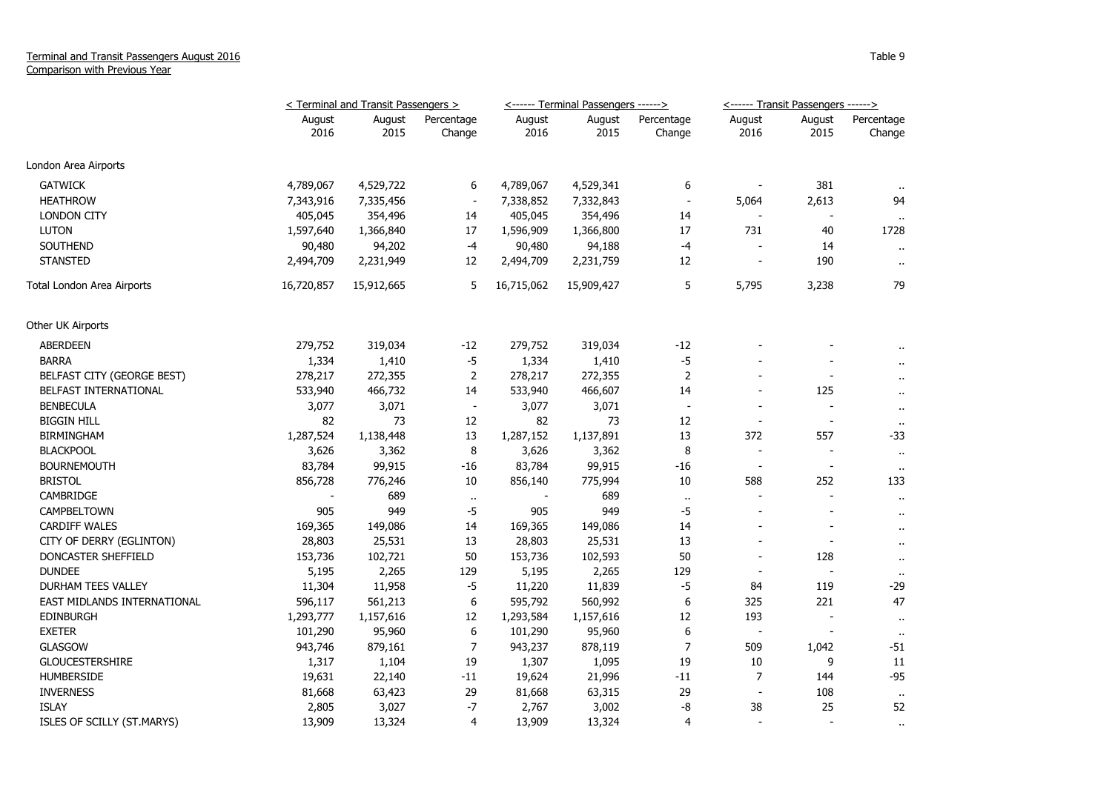## Terminal and Transit Passengers August 2016 Comparison with Previous Year

|                             | < Terminal and Transit Passengers > |                |                          |                | <------ Terminal Passengers ------> |                          | <------ Transit Passengers ------> |                          |                      |
|-----------------------------|-------------------------------------|----------------|--------------------------|----------------|-------------------------------------|--------------------------|------------------------------------|--------------------------|----------------------|
|                             | August<br>2016                      | August<br>2015 | Percentage<br>Change     | August<br>2016 | August<br>2015                      | Percentage<br>Change     | August<br>2016                     | August<br>2015           | Percentage<br>Change |
| London Area Airports        |                                     |                |                          |                |                                     |                          |                                    |                          |                      |
| <b>GATWICK</b>              | 4,789,067                           | 4,529,722      | 6                        | 4,789,067      | 4,529,341                           | 6                        |                                    | 381                      |                      |
| <b>HEATHROW</b>             | 7,343,916                           | 7,335,456      | $\overline{\phantom{a}}$ | 7,338,852      | 7,332,843                           | $\sim$                   | 5,064                              | 2,613                    | 94                   |
| <b>LONDON CITY</b>          | 405,045                             | 354,496        | 14                       | 405,045        | 354,496                             | 14                       |                                    |                          |                      |
| <b>LUTON</b>                | 1,597,640                           | 1,366,840      | 17                       | 1,596,909      | 1,366,800                           | 17                       | 731                                | 40                       | 1728                 |
| <b>SOUTHEND</b>             | 90,480                              | 94,202         | $-4$                     | 90,480         | 94,188                              | $-4$                     |                                    | 14                       | $\ddot{\phantom{1}}$ |
| <b>STANSTED</b>             | 2,494,709                           | 2,231,949      | 12                       | 2,494,709      | 2,231,759                           | 12                       |                                    | 190                      | $\ddot{\phantom{a}}$ |
| Total London Area Airports  | 16,720,857                          | 15,912,665     | 5                        | 16,715,062     | 15,909,427                          | 5                        | 5,795                              | 3,238                    | 79                   |
| Other UK Airports           |                                     |                |                          |                |                                     |                          |                                    |                          |                      |
| ABERDEEN                    | 279,752                             | 319,034        | $-12$                    | 279,752        | 319,034                             | -12                      |                                    |                          |                      |
| <b>BARRA</b>                | 1,334                               | 1,410          | $-5$                     | 1,334          | 1,410                               | $-5$                     |                                    |                          |                      |
| BELFAST CITY (GEORGE BEST)  | 278,217                             | 272,355        | $\overline{2}$           | 278,217        | 272,355                             | $\mathbf 2$              |                                    | $\overline{\phantom{a}}$ | $\ddot{\phantom{a}}$ |
| BELFAST INTERNATIONAL       | 533,940                             | 466,732        | 14                       | 533,940        | 466,607                             | 14                       | $\overline{a}$                     | 125                      | $\ddot{\phantom{1}}$ |
| <b>BENBECULA</b>            | 3,077                               | 3,071          | $\overline{\phantom{a}}$ | 3,077          | 3,071                               | $\overline{\phantom{a}}$ |                                    |                          |                      |
| <b>BIGGIN HILL</b>          | 82                                  | 73             | 12                       | 82             | 73                                  | 12                       | $\overline{\phantom{a}}$           | $\overline{\phantom{a}}$ | $\sim$               |
| <b>BIRMINGHAM</b>           | 1,287,524                           | 1,138,448      | 13                       | 1,287,152      | 1,137,891                           | 13                       | 372                                | 557                      | $-33$                |
| <b>BLACKPOOL</b>            | 3,626                               | 3,362          | 8                        | 3,626          | 3,362                               | 8                        | $\overline{\phantom{a}}$           | $\overline{\phantom{a}}$ | $\ddot{\phantom{1}}$ |
| <b>BOURNEMOUTH</b>          | 83,784                              | 99,915         | -16                      | 83,784         | 99,915                              | -16                      | $\sim$                             | $\overline{\phantom{a}}$ | $\sim$               |
| <b>BRISTOL</b>              | 856,728                             | 776,246        | 10                       | 856,140        | 775,994                             | 10                       | 588                                | 252                      | 133                  |
| CAMBRIDGE                   |                                     | 689            | $\ddot{\phantom{1}}$     |                | 689                                 | $\cdots$                 |                                    |                          |                      |
| CAMPBELTOWN                 | 905                                 | 949            | $-5$                     | 905            | 949                                 | $-5$                     | ÷,                                 | $\overline{\phantom{a}}$ | $\ddot{\phantom{a}}$ |
| <b>CARDIFF WALES</b>        | 169,365                             | 149,086        | 14                       | 169,365        | 149,086                             | 14                       |                                    |                          | $\ddot{\phantom{a}}$ |
| CITY OF DERRY (EGLINTON)    | 28,803                              | 25,531         | 13                       | 28,803         | 25,531                              | 13                       |                                    | $\overline{\phantom{a}}$ | $\ddot{\phantom{a}}$ |
| DONCASTER SHEFFIELD         | 153,736                             | 102,721        | 50                       | 153,736        | 102,593                             | 50                       |                                    | 128                      | $\ddot{\phantom{a}}$ |
| <b>DUNDEE</b>               | 5,195                               | 2,265          | 129                      | 5,195          | 2,265                               | 129                      |                                    | $\overline{\phantom{a}}$ |                      |
| <b>DURHAM TEES VALLEY</b>   | 11,304                              | 11,958         | $-5$                     | 11,220         | 11,839                              | $-5$                     | 84                                 | 119                      | -29                  |
| EAST MIDLANDS INTERNATIONAL | 596,117                             | 561,213        | 6                        | 595,792        | 560,992                             | 6                        | 325                                | 221                      | 47                   |
| <b>EDINBURGH</b>            | 1,293,777                           | 1,157,616      | 12                       | 1,293,584      | 1,157,616                           | 12                       | 193                                | $\overline{\phantom{a}}$ | $\cdots$             |
| <b>EXETER</b>               | 101,290                             | 95,960         | 6                        | 101,290        | 95,960                              | 6                        | $\overline{\phantom{a}}$           |                          | $\cdots$             |
| <b>GLASGOW</b>              | 943,746                             | 879,161        | 7                        | 943,237        | 878,119                             | 7                        | 509                                | 1,042                    | -51                  |
| <b>GLOUCESTERSHIRE</b>      | 1,317                               | 1,104          | 19                       | 1,307          | 1,095                               | 19                       | 10                                 | 9                        | $11\,$               |
| <b>HUMBERSIDE</b>           | 19,631                              | 22,140         | $^{\rm -11}$             | 19,624         | 21,996                              | $-11$                    | $\overline{7}$                     | 144                      | $-95$                |
| <b>INVERNESS</b>            | 81,668                              | 63,423         | 29                       | 81,668         | 63,315                              | 29                       |                                    | 108                      | $\sim$               |
| <b>ISLAY</b>                | 2,805                               | 3,027          | $-7$                     | 2,767          | 3,002                               | -8                       | 38                                 | 25                       | 52                   |
| ISLES OF SCILLY (ST.MARYS)  | 13,909                              | 13,324         | 4                        | 13,909         | 13,324                              | $\overline{4}$           | $\overline{a}$                     |                          | $\alpha$             |